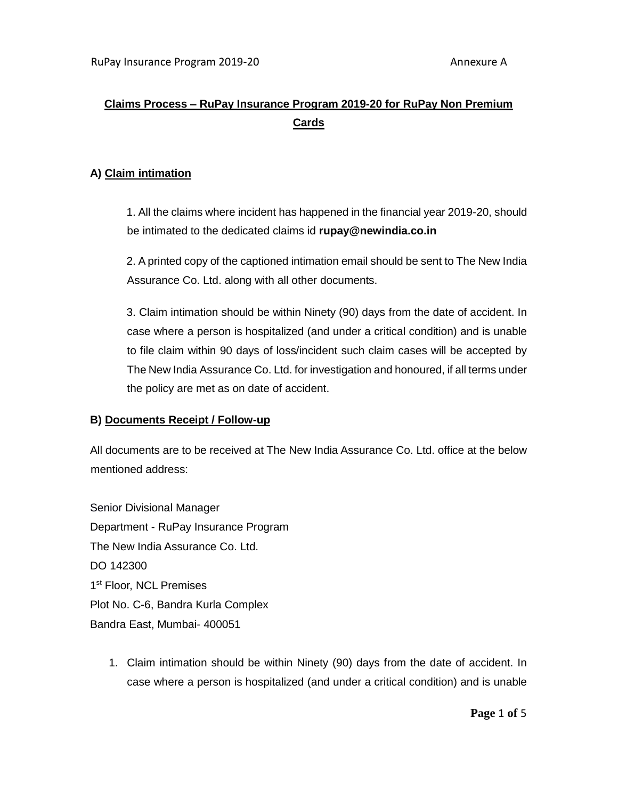# **Claims Process – RuPay Insurance Program 2019-20 for RuPay Non Premium Cards**

#### **A) Claim intimation**

1. All the claims where incident has happened in the financial year 2019-20, should be intimated to the dedicated claims id **rupay@newindia.co.in**

2. A printed copy of the captioned intimation email should be sent to The New India Assurance Co. Ltd. along with all other documents.

3. Claim intimation should be within Ninety (90) days from the date of accident. In case where a person is hospitalized (and under a critical condition) and is unable to file claim within 90 days of loss/incident such claim cases will be accepted by The New India Assurance Co. Ltd. for investigation and honoured, if all terms under the policy are met as on date of accident.

#### **B) Documents Receipt / Follow-up**

All documents are to be received at The New India Assurance Co. Ltd. office at the below mentioned address:

Senior Divisional Manager Department - RuPay Insurance Program The New India Assurance Co. Ltd. DO 142300 1st Floor, NCL Premises Plot No. C-6, Bandra Kurla Complex Bandra East, Mumbai- 400051

1. Claim intimation should be within Ninety (90) days from the date of accident. In case where a person is hospitalized (and under a critical condition) and is unable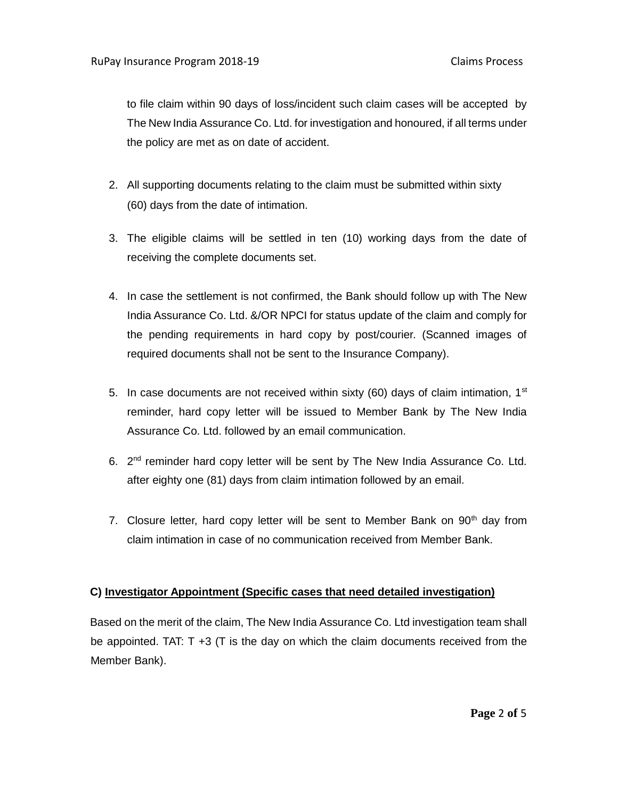to file claim within 90 days of loss/incident such claim cases will be accepted by The New India Assurance Co. Ltd. for investigation and honoured, if all terms under the policy are met as on date of accident.

- 2. All supporting documents relating to the claim must be submitted within sixty (60) days from the date of intimation.
- 3. The eligible claims will be settled in ten (10) working days from the date of receiving the complete documents set.
- 4. In case the settlement is not confirmed, the Bank should follow up with The New India Assurance Co. Ltd. &/OR NPCI for status update of the claim and comply for the pending requirements in hard copy by post/courier. (Scanned images of required documents shall not be sent to the Insurance Company).
- 5. In case documents are not received within sixty (60) days of claim intimation,  $1<sup>st</sup>$ reminder, hard copy letter will be issued to Member Bank by The New India Assurance Co. Ltd. followed by an email communication.
- 6.  $2^{nd}$  reminder hard copy letter will be sent by The New India Assurance Co. Ltd. after eighty one (81) days from claim intimation followed by an email.
- 7. Closure letter, hard copy letter will be sent to Member Bank on  $90<sup>th</sup>$  day from claim intimation in case of no communication received from Member Bank.

## **C) Investigator Appointment (Specific cases that need detailed investigation)**

Based on the merit of the claim, The New India Assurance Co. Ltd investigation team shall be appointed. TAT: T +3 (T is the day on which the claim documents received from the Member Bank).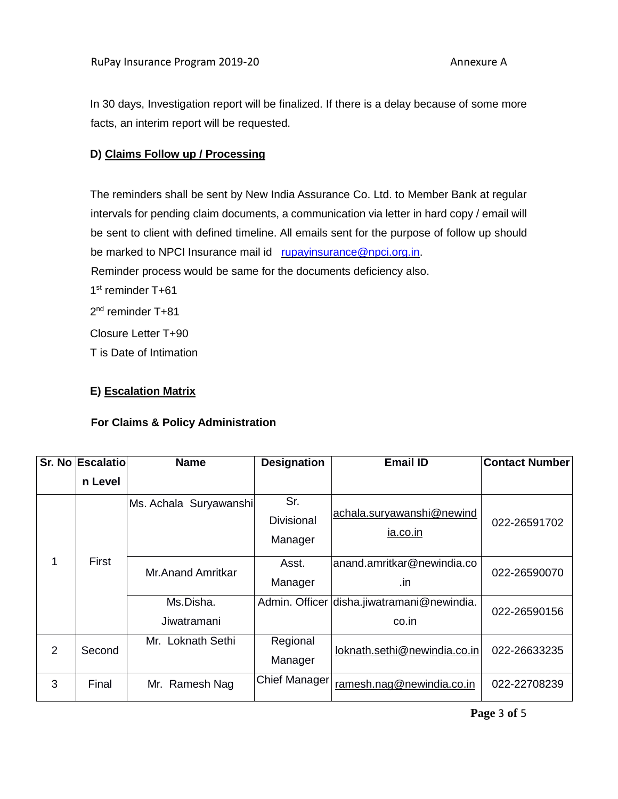In 30 days, Investigation report will be finalized. If there is a delay because of some more facts, an interim report will be requested.

#### **D) Claims Follow up / Processing**

The reminders shall be sent by New India Assurance Co. Ltd. to Member Bank at regular intervals for pending claim documents, a communication via letter in hard copy / email will be sent to client with defined timeline. All emails sent for the purpose of follow up should be marked to NPCI Insurance mail id rupayinsurance@npci.org.in.

Reminder process would be same for the documents deficiency also.

1<sup>st</sup> reminder T+61

2<sup>nd</sup> reminder T+81

Closure Letter T+90

T is Date of Intimation

## **E) Escalation Matrix**

## **For Claims & Policy Administration**

|   | Sr. No Escalatio | <b>Name</b>              | <b>Designation</b>                  | <b>Email ID</b>                                     | <b>Contact Number</b> |
|---|------------------|--------------------------|-------------------------------------|-----------------------------------------------------|-----------------------|
|   | n Level          |                          |                                     |                                                     |                       |
| 1 | <b>First</b>     | Ms. Achala Suryawanshi   | Sr.<br><b>Divisional</b><br>Manager | achala.suryawanshi@newind<br>ia.co.in               | 022-26591702          |
|   |                  | <b>Mr.Anand Amritkar</b> | Asst.<br>Manager                    | anand.amritkar@newindia.co<br>.in                   | 022-26590070          |
|   |                  | Ms.Disha.<br>Jiwatramani |                                     | Admin. Officer disha.jiwatramani@newindia.<br>co.in | 022-26590156          |
| 2 | Second           | Loknath Sethi<br>Mr.     | Regional<br>Manager                 | loknath.sethi@newindia.co.in                        | 022-26633235          |
| 3 | Final            | Ramesh Nag<br>Mr.        | <b>Chief Manager</b>                | ramesh.nag@newindia.co.in                           | 022-22708239          |

**Page** 3 **of** 5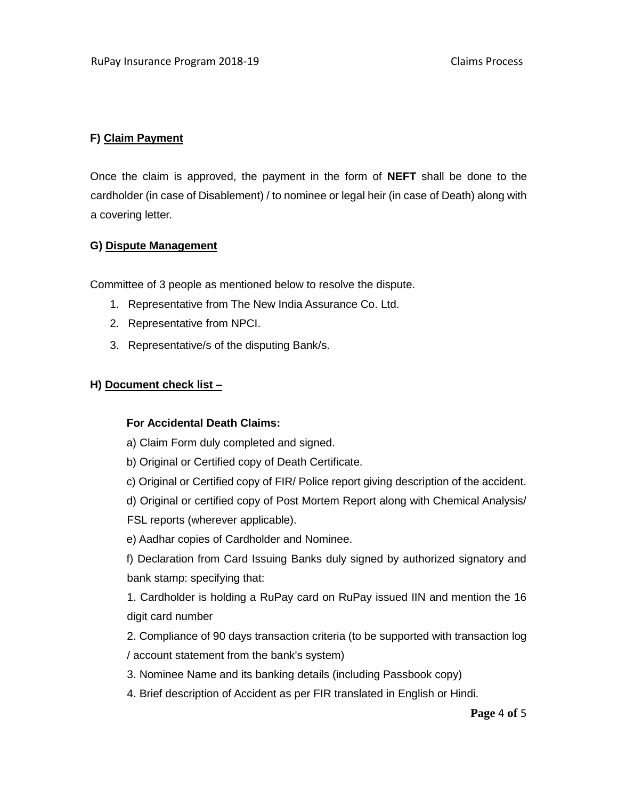# **F) Claim Payment**

Once the claim is approved, the payment in the form of **NEFT** shall be done to the cardholder (in case of Disablement) / to nominee or legal heir (in case of Death) along with a covering letter.

#### **G) Dispute Management**

Committee of 3 people as mentioned below to resolve the dispute.

- 1. Representative from The New India Assurance Co. Ltd.
- 2. Representative from NPCI.
- 3. Representative/s of the disputing Bank/s.

## **H) Document check list –**

## **For Accidental Death Claims:**

- a) Claim Form duly completed and signed.
- b) Original or Certified copy of Death Certificate.
- c) Original or Certified copy of FIR/ Police report giving description of the accident.
- d) Original or certified copy of Post Mortem Report along with Chemical Analysis/
- FSL reports (wherever applicable).
- e) Aadhar copies of Cardholder and Nominee.

f) Declaration from Card Issuing Banks duly signed by authorized signatory and bank stamp: specifying that:

1. Cardholder is holding a RuPay card on RuPay issued IIN and mention the 16 digit card number

2. Compliance of 90 days transaction criteria (to be supported with transaction log / account statement from the bank's system)

- 3. Nominee Name and its banking details (including Passbook copy)
- 4. Brief description of Accident as per FIR translated in English or Hindi.